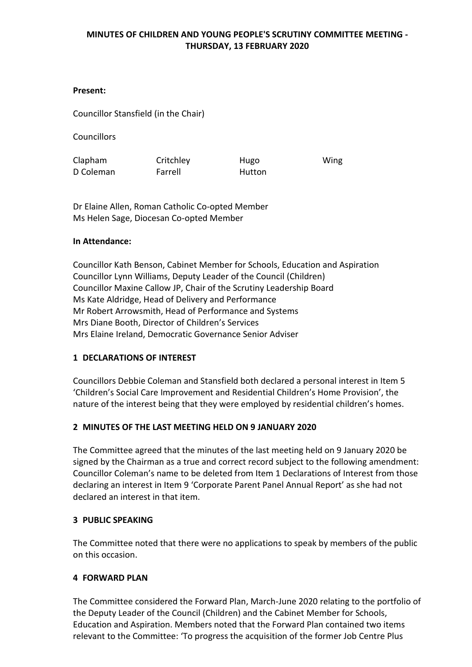### **Present:**

Councillor Stansfield (in the Chair)

**Councillors** 

Clapham D Coleman **Critchley** Farrell Hugo Hutton Wing

Dr Elaine Allen, Roman Catholic Co-opted Member Ms Helen Sage, Diocesan Co-opted Member

#### **In Attendance:**

Councillor Kath Benson, Cabinet Member for Schools, Education and Aspiration Councillor Lynn Williams, Deputy Leader of the Council (Children) Councillor Maxine Callow JP, Chair of the Scrutiny Leadership Board Ms Kate Aldridge, Head of Delivery and Performance Mr Robert Arrowsmith, Head of Performance and Systems Mrs Diane Booth, Director of Children's Services Mrs Elaine Ireland, Democratic Governance Senior Adviser

# **1 DECLARATIONS OF INTEREST**

Councillors Debbie Coleman and Stansfield both declared a personal interest in Item 5 'Children's Social Care Improvement and Residential Children's Home Provision', the nature of the interest being that they were employed by residential children's homes.

#### **2 MINUTES OF THE LAST MEETING HELD ON 9 JANUARY 2020**

The Committee agreed that the minutes of the last meeting held on 9 January 2020 be signed by the Chairman as a true and correct record subject to the following amendment: Councillor Coleman's name to be deleted from Item 1 Declarations of Interest from those declaring an interest in Item 9 'Corporate Parent Panel Annual Report' as she had not declared an interest in that item.

#### **3 PUBLIC SPEAKING**

The Committee noted that there were no applications to speak by members of the public on this occasion.

#### **4 FORWARD PLAN**

The Committee considered the Forward Plan, March-June 2020 relating to the portfolio of the Deputy Leader of the Council (Children) and the Cabinet Member for Schools, Education and Aspiration. Members noted that the Forward Plan contained two items relevant to the Committee: 'To progress the acquisition of the former Job Centre Plus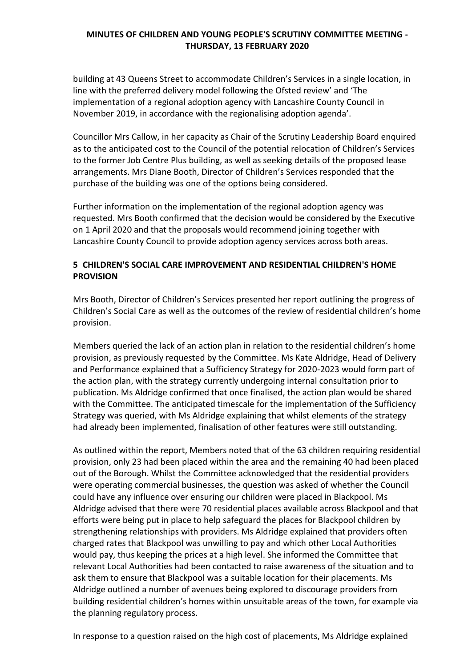building at 43 Queens Street to accommodate Children's Services in a single location, in line with the preferred delivery model following the Ofsted review' and 'The implementation of a regional adoption agency with Lancashire County Council in November 2019, in accordance with the regionalising adoption agenda'.

Councillor Mrs Callow, in her capacity as Chair of the Scrutiny Leadership Board enquired as to the anticipated cost to the Council of the potential relocation of Children's Services to the former Job Centre Plus building, as well as seeking details of the proposed lease arrangements. Mrs Diane Booth, Director of Children's Services responded that the purchase of the building was one of the options being considered.

Further information on the implementation of the regional adoption agency was requested. Mrs Booth confirmed that the decision would be considered by the Executive on 1 April 2020 and that the proposals would recommend joining together with Lancashire County Council to provide adoption agency services across both areas.

# **5 CHILDREN'S SOCIAL CARE IMPROVEMENT AND RESIDENTIAL CHILDREN'S HOME PROVISION**

Mrs Booth, Director of Children's Services presented her report outlining the progress of Children's Social Care as well as the outcomes of the review of residential children's home provision.

Members queried the lack of an action plan in relation to the residential children's home provision, as previously requested by the Committee. Ms Kate Aldridge, Head of Delivery and Performance explained that a Sufficiency Strategy for 2020-2023 would form part of the action plan, with the strategy currently undergoing internal consultation prior to publication. Ms Aldridge confirmed that once finalised, the action plan would be shared with the Committee. The anticipated timescale for the implementation of the Sufficiency Strategy was queried, with Ms Aldridge explaining that whilst elements of the strategy had already been implemented, finalisation of other features were still outstanding.

As outlined within the report, Members noted that of the 63 children requiring residential provision, only 23 had been placed within the area and the remaining 40 had been placed out of the Borough. Whilst the Committee acknowledged that the residential providers were operating commercial businesses, the question was asked of whether the Council could have any influence over ensuring our children were placed in Blackpool. Ms Aldridge advised that there were 70 residential places available across Blackpool and that efforts were being put in place to help safeguard the places for Blackpool children by strengthening relationships with providers. Ms Aldridge explained that providers often charged rates that Blackpool was unwilling to pay and which other Local Authorities would pay, thus keeping the prices at a high level. She informed the Committee that relevant Local Authorities had been contacted to raise awareness of the situation and to ask them to ensure that Blackpool was a suitable location for their placements. Ms Aldridge outlined a number of avenues being explored to discourage providers from building residential children's homes within unsuitable areas of the town, for example via the planning regulatory process.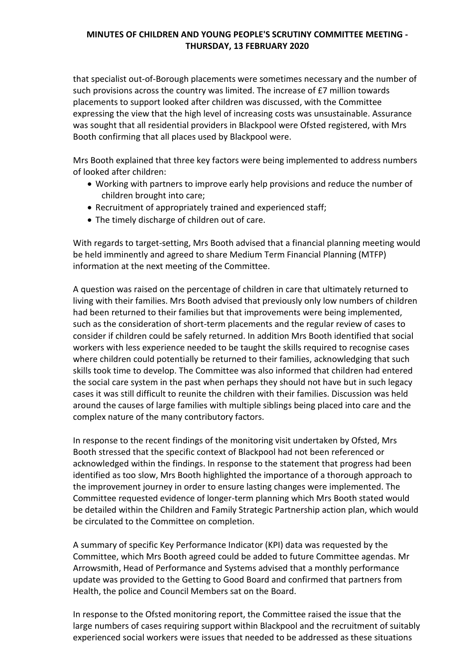that specialist out-of-Borough placements were sometimes necessary and the number of such provisions across the country was limited. The increase of £7 million towards placements to support looked after children was discussed, with the Committee expressing the view that the high level of increasing costs was unsustainable. Assurance was sought that all residential providers in Blackpool were Ofsted registered, with Mrs Booth confirming that all places used by Blackpool were.

Mrs Booth explained that three key factors were being implemented to address numbers of looked after children:

- Working with partners to improve early help provisions and reduce the number of children brought into care;
- Recruitment of appropriately trained and experienced staff;
- The timely discharge of children out of care.

With regards to target-setting, Mrs Booth advised that a financial planning meeting would be held imminently and agreed to share Medium Term Financial Planning (MTFP) information at the next meeting of the Committee.

A question was raised on the percentage of children in care that ultimately returned to living with their families. Mrs Booth advised that previously only low numbers of children had been returned to their families but that improvements were being implemented, such as the consideration of short-term placements and the regular review of cases to consider if children could be safely returned. In addition Mrs Booth identified that social workers with less experience needed to be taught the skills required to recognise cases where children could potentially be returned to their families, acknowledging that such skills took time to develop. The Committee was also informed that children had entered the social care system in the past when perhaps they should not have but in such legacy cases it was still difficult to reunite the children with their families. Discussion was held around the causes of large families with multiple siblings being placed into care and the complex nature of the many contributory factors.

In response to the recent findings of the monitoring visit undertaken by Ofsted, Mrs Booth stressed that the specific context of Blackpool had not been referenced or acknowledged within the findings. In response to the statement that progress had been identified as too slow, Mrs Booth highlighted the importance of a thorough approach to the improvement journey in order to ensure lasting changes were implemented. The Committee requested evidence of longer-term planning which Mrs Booth stated would be detailed within the Children and Family Strategic Partnership action plan, which would be circulated to the Committee on completion.

A summary of specific Key Performance Indicator (KPI) data was requested by the Committee, which Mrs Booth agreed could be added to future Committee agendas. Mr Arrowsmith, Head of Performance and Systems advised that a monthly performance update was provided to the Getting to Good Board and confirmed that partners from Health, the police and Council Members sat on the Board.

In response to the Ofsted monitoring report, the Committee raised the issue that the large numbers of cases requiring support within Blackpool and the recruitment of suitably experienced social workers were issues that needed to be addressed as these situations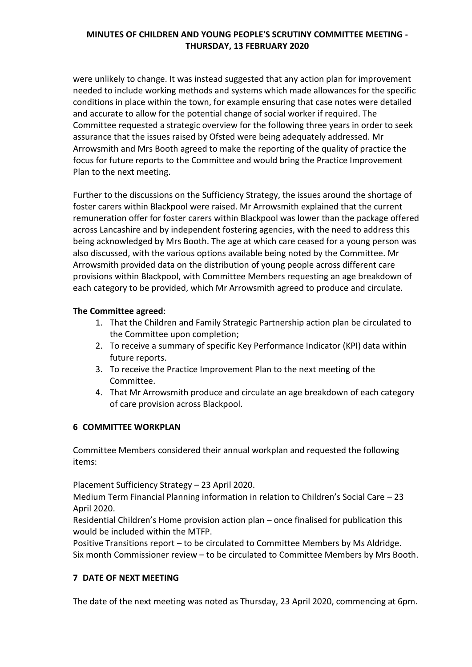were unlikely to change. It was instead suggested that any action plan for improvement needed to include working methods and systems which made allowances for the specific conditions in place within the town, for example ensuring that case notes were detailed and accurate to allow for the potential change of social worker if required. The Committee requested a strategic overview for the following three years in order to seek assurance that the issues raised by Ofsted were being adequately addressed. Mr Arrowsmith and Mrs Booth agreed to make the reporting of the quality of practice the focus for future reports to the Committee and would bring the Practice Improvement Plan to the next meeting.

Further to the discussions on the Sufficiency Strategy, the issues around the shortage of foster carers within Blackpool were raised. Mr Arrowsmith explained that the current remuneration offer for foster carers within Blackpool was lower than the package offered across Lancashire and by independent fostering agencies, with the need to address this being acknowledged by Mrs Booth. The age at which care ceased for a young person was also discussed, with the various options available being noted by the Committee. Mr Arrowsmith provided data on the distribution of young people across different care provisions within Blackpool, with Committee Members requesting an age breakdown of each category to be provided, which Mr Arrowsmith agreed to produce and circulate.

### **The Committee agreed**:

- 1. That the Children and Family Strategic Partnership action plan be circulated to the Committee upon completion;
- 2. To receive a summary of specific Key Performance Indicator (KPI) data within future reports.
- 3. To receive the Practice Improvement Plan to the next meeting of the Committee.
- 4. That Mr Arrowsmith produce and circulate an age breakdown of each category of care provision across Blackpool.

# **6 COMMITTEE WORKPLAN**

Committee Members considered their annual workplan and requested the following items:

Placement Sufficiency Strategy – 23 April 2020.

Medium Term Financial Planning information in relation to Children's Social Care – 23 April 2020.

Residential Children's Home provision action plan – once finalised for publication this would be included within the MTFP.

Positive Transitions report – to be circulated to Committee Members by Ms Aldridge. Six month Commissioner review – to be circulated to Committee Members by Mrs Booth.

# **7 DATE OF NEXT MEETING**

The date of the next meeting was noted as Thursday, 23 April 2020, commencing at 6pm.